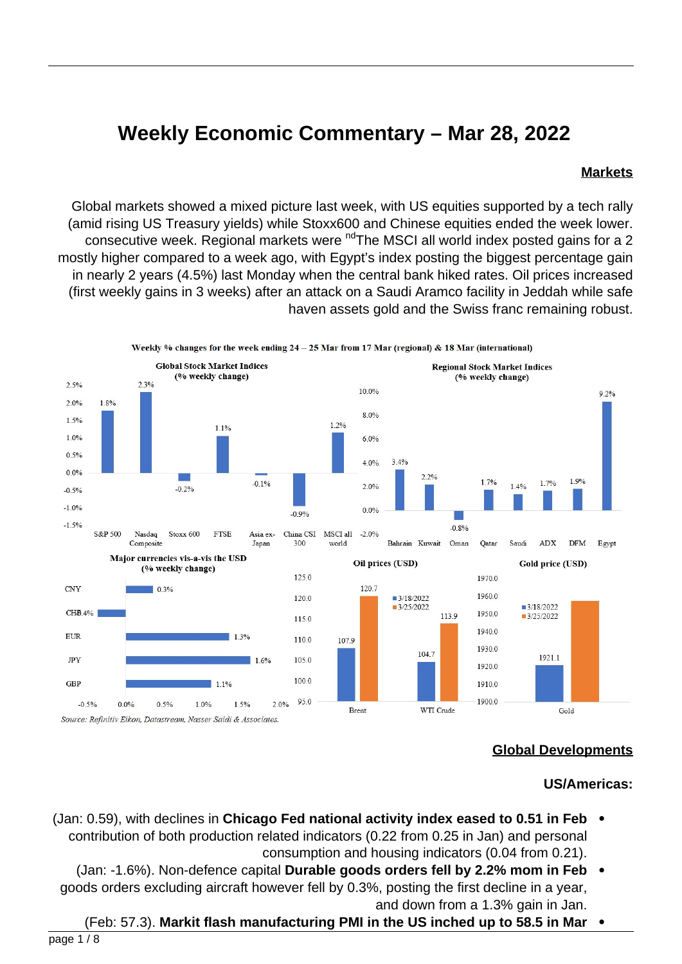# **Weekly Economic Commentary - Mar 28, 2022**

#### **Markets**

Global markets showed a mixed picture last week, with US equities supported by a tech rally (amid rising US Treasury yields) while Stoxx600 and Chinese equities ended the week lower. consecutive week. Regional markets were <sup>nd</sup> The MSCI all world index posted gains for a 2 mostly higher compared to a week ago, with Egypt's index posting the biggest percentage gain in nearly 2 years (4.5%) last Monday when the central bank hiked rates. Oil prices increased (first weekly gains in 3 weeks) after an attack on a Saudi Aramco facility in Jeddah while safe haven assets gold and the Swiss franc remaining robust.



### **Global Developments**

#### **US/Americas:**

- **Feb in 10.59** formulations in Chicago Fed national activity index eased to 0.51 in Feb  $\bullet$ contribution of both production related indicators (0.22 from 0.25 in Jan) and personal consumption and housing indicators (0.04 from 0.21).
	- (Jan: -1.6%). Non-defence capital **Durable goods orders fell by 2.2% mom in Feb** goods orders excluding aircraft however fell by 0.3%, posting the first decline in a year, and down from a 1.3% gain in Jan.
	- **(Feb: 57.3). Markit flash manufacturing PMI in the US inched up to 58.5 in Mar**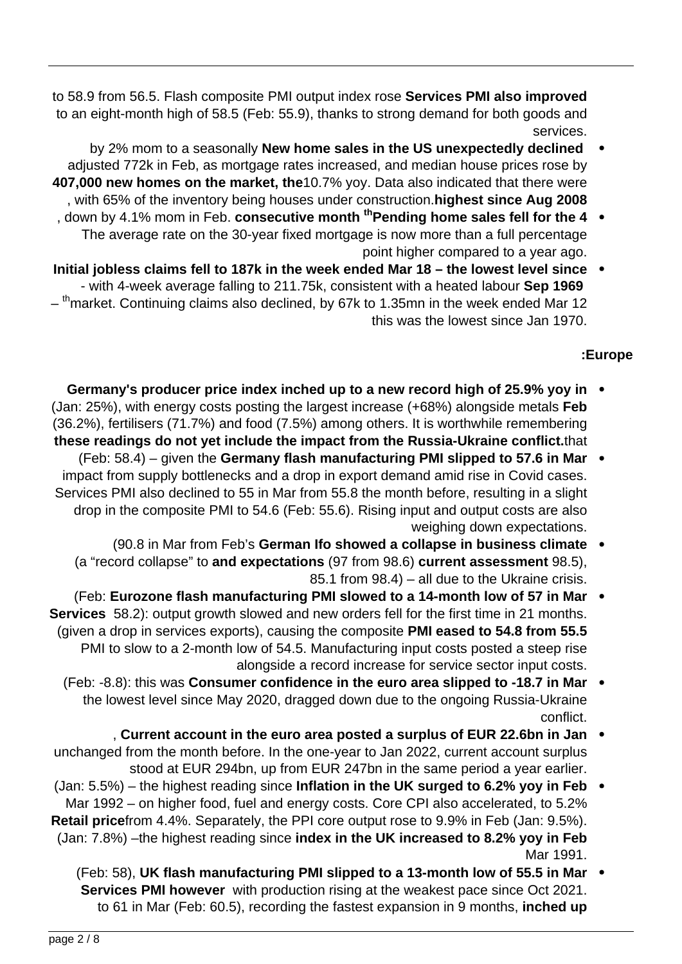to 58.9 from 56.5. Flash composite PMI output index rose **Services PMI also improved** to an eight-month high of 58.5 (Feb: 55.9), thanks to strong demand for both goods and services.

- by 2% mom to a seasonally **New home sales in the US unexpectedly declined** adjusted 772k in Feb, as mortgage rates increased, and median house prices rose by 407,000 new homes on the market, the 10.7% yoy. Data also indicated that there were , with 65% of the inventory being houses under construction highest since Aug 2008
- , down by 4.1% mom in Feb. consecutive month <sup>th</sup> Pending home sales fell for the 4 The average rate on the 30-year fixed mortgage is now more than a full percentage point higher compared to a year ago.
- Initial jobless claims fell to 187k in the week ended Mar 18 the lowest level since - with 4-week average falling to 211.75k, consistent with a heated labour Sep 1969 - <sup>th</sup>market. Continuing claims also declined, by 67k to 1.35mn in the week ended Mar 12 this was the lowest since Jan 1970.

## **Europe:**

- **in Germany's producer price index inched up to a new record high of 25.9% yoy in** (Jan: 25%), with energy costs posting the largest increase (+68%) alongside metals Feb  $(36.2\%)$ , fertilisers  $(71.7\%)$  and food  $(7.5\%)$  among others. It is worthwhile remembering these readings do not yet include the impact from the Russia-Ukraine conflict.that
- **(Feb: 58.4)** given the Germany flash manufacturing PMI slipped to 57.6 in Mar impact from supply bottlenecks and a drop in export demand amid rise in Covid cases. Services PMI also declined to 55 in Mar from 55.8 the month before, resulting in a slight drop in the composite PMI to 54.6 (Feb: 55.6). Rising input and output costs are also weighing down expectations.
	- **(90.8 in Mar from Feb's German Ifo showed a collapse in business climate** (a "record collapse" to and expectations (97 from 98.6) current assessment 98.5), 85.1 from  $98.4$ ) – all due to the Ukraine crisis.
- (Feb: Eurozone flash manufacturing PMI slowed to a 14-month low of 57 in Mar **Services** 58.2): output growth slowed and new orders fell for the first time in 21 months. (given a drop in services exports), causing the composite PMI eased to 54.8 from 55.5 PMI to slow to a 2-month low of 54.5. Manufacturing input costs posted a steep rise alongside a record increase for service sector input costs.
	- (Feb: -8.8): this was **Consumer** confidence in the euro area slipped to -18.7 in Mar  $\bullet$ the lowest level since May 2020, dragged down due to the ongoing Russia-Ukraine .conflict
- **Current account in the euro area posted a surplus of EUR 22.6bn in Jan** unchanged from the month before. In the one-year to Jan 2022, current account surplus stood at EUR 294bn, up from EUR 247 bn in the same period a year earlier.
- (Jan: 5.5%) the highest reading since **Inflation in the UK surged to 6.2% yoy in Feb**  $\bullet$ Mar 1992 - on higher food, fuel and energy costs. Core CPI also accelerated, to 5.2% **Retail price**from 4.4%. Separately, the PPI core output rose to 9.9% in Feb (Jan: 9.5%). (Jan: 7.8%) –the highest reading since index in the UK increased to 8.2% yoy in Feb Mar 1991.
	- (Feb: 58), UK flash manufacturing PMI slipped to a 13-month low of 55.5 in Mar **Services PMI however** with production rising at the weakest pace since Oct 2021. to 61 in Mar (Feb: 60.5), recording the fastest expansion in 9 months, **inched up**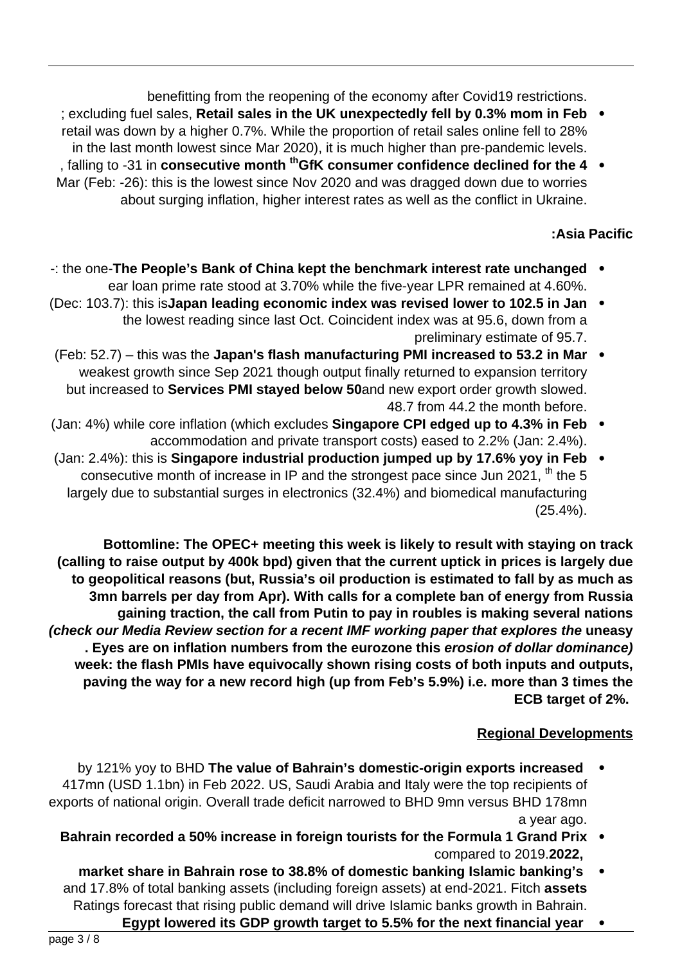benefitting from the reopening of the economy after Covid19 restrictions.

- fiex cluding fuel sales, Retail sales in the UK unexpectedly fell by 0.3% mom in Feb  $\bullet$ retail was down by a higher 0.7%. While the proportion of retail sales online fell to 28% in the last month lowest since Mar 2020), it is much higher than pre-pandemic levels.
- , falling to -31 in consecutive month <sup>th</sup> GfK consumer confidence declined for the 4 Mar (Feb: -26): this is the lowest since Nov 2020 and was dragged down due to worries about surging inflation, higher interest rates as well as the conflict in Ukraine.

## **Pacific Asia:**

- -: the one-The People's Bank of China kept the benchmark interest rate unchanged . ear loan prime rate stood at 3.70% while the five-year LPR remained at 4.60%.
- **(Dec: 103.7): this isJapan leading economic index was revised lower to 102.5 in Jan .** the lowest reading since last Oct. Coincident index was at 95.6, down from a preliminary estimate of 95.7.
- **(Feb: 52.7)** this was the Japan's flash manufacturing PMI increased to 53.2 in Mar  $\bullet$ weakest growth since Sep 2021 though output finally returned to expansion territory but increased to Services PMI stayed below 50 and new export order growth slowed. 48.7 from 44.2 the month before.
- (Jan: 4%) while core inflation (which excludes **Singapore CPI edged up to 4.3% in Feb** accommodation and private transport costs) eased to 2.2% (Jan: 2.4%).
- **(Jan: 2.4%): this is Singapore industrial production jumped up by 17.6% yoy in Feb** consecutive month of increase in IP and the strongest pace since Jun 2021,  $^{th}$  the 5 largely due to substantial surges in electronics (32.4%) and biomedical manufacturing  $(25.4\%)$ .

**Bottomline: The OPEC+ meeting this week is likely to result with staying on track** (calling to raise output by 400k bpd) given that the current uptick in prices is largely due to geopolitical reasons (but, Russia's oil production is estimated to fall by as much as 3mn barrels per day from Apr). With calls for a complete ban of energy from Russia gaining traction, the call from Putin to pay in roubles is making several nations *(check our Media Review section for a recent IMF working paper that explores the uneasy* **(dominance)** Eves are on inflation numbers from the eurozone this erosion of dollar dominance) week: the flash PMIs have equivocally shown rising costs of both inputs and outputs, paving the way for a new record high (up from Feb's 5.9%) i.e. more than 3 times the **ECB** target of 2%.

## **Regional Developments**

- by 121% yoy to BHD The value of Bahrain's domestic-origin exports increased 417mn (USD 1.1bn) in Feb 2022. US, Saudi Arabia and Italy were the top recipients of exports of national origin. Overall trade deficit narrowed to BHD 9mn versus BHD 178mn a year ago.
	- **Bahrain recorded a 50% increase in foreign tourists for the Formula 1 Grand Prix** 2019.**2022,** to compared
	- market share in Bahrain rose to 38.8% of domestic banking Islamic banking's and 17.8% of total banking assets (including foreign assets) at end-2021. Fitch assets Ratings forecast that rising public demand will drive Islamic banks growth in Bahrain.
		- **Egypt lowered its GDP growth target to 5.5% for the next financial year**  $\bullet$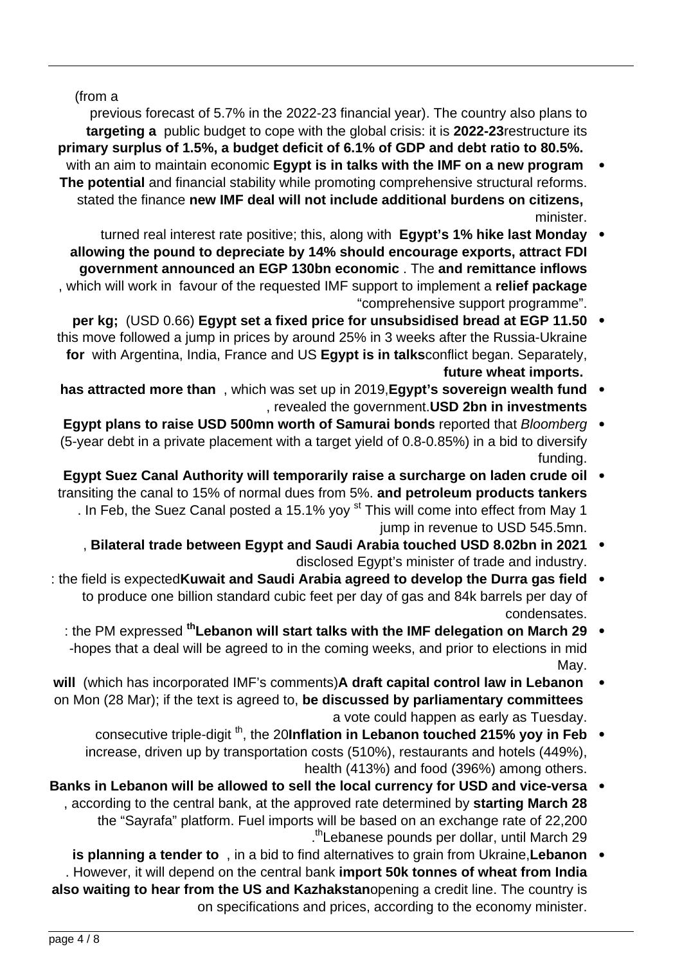(from a

previous forecast of 5.7% in the 2022-23 financial year). The country also plans to **targeting a** public budget to cope with the global crisis: it is 2022-23 restructure its primary surplus of 1.5%, a budget deficit of 6.1% of GDP and debt ratio to 80.5%.

- with an aim to maintain economic **Egypt is in talks with the IMF on a new program** The potential and financial stability while promoting comprehensive structural reforms. stated the finance new IMF deal will not include additional burdens on citizens. .minister
- turned real interest rate positive; this, along with **Egypt's 1% hike last Monday** allowing the pound to depreciate by 14% should encourage exports, attract FDI **government announced an EGP 130bn economic.** The and remittance inflows , which will work in favour of the requested IMF support to implement a relief package "comprehensive support programme".
- **11.50** per kg; (USD 0.66) Egypt set a fixed price for unsubsidised bread at EGP 11.50 this move followed a jump in prices by around 25% in 3 weeks after the Russia-Ukraine for with Argentina, India, France and US Egypt is in talksconflict began. Separately, future wheat imports.
- **has attracted more than**, which was set up in 2019, Egypt's sovereign wealth fund , revealed the government. USD 2bn in investments
- Egypt plans to raise USD 500mn worth of Samurai bonds reported that Bloomberg (5-year debt in a private placement with a target yield of  $0.8-0.85%$ ) in a bid to diversify funding.
- **Egypt Suez Canal Authority will temporarily raise a surcharge on laden crude oil** transiting the canal to 15% of normal dues from 5%. and petroleum products tankers . In Feb, the Suez Canal posted a 15.1% yoy <sup>st</sup> This will come into effect from May 1 jump in revenue to USD 545.5mn.
	- **2021** Bilateral trade between Egypt and Saudi Arabia touched USD 8.02bn in 2021 disclosed Egypt's minister of trade and industry.
- field is expected **Kuwait and Saudi Arabia agreed to develop the Durra gas field** to produce one billion standard cubic feet per day of gas and 84k barrels per day of .condensates
	- : the PM expressed <sup>th</sup> Lebanon will start talks with the IMF delegation on March 29  $\bullet$ -hopes that a deal will be agreed to in the coming weeks, and prior to elections in mid May.
- **will** (which has incorporated IMF's comments) A draft capital control law in Lebanon on Mon (28 Mar); if the text is agreed to, be discussed by parliamentary committees a vote could happen as early as Tuesday.
	- consecutive triple-digit<sup>th</sup>, the 20Inflation in Lebanon touched 215% yoy in Feb increase, driven up by transportation costs (510%), restaurants and hotels (449%), health (413%) and food (396%) among others.
- Banks in Lebanon will be allowed to sell the local currency for USD and vice-versa according to the central bank, at the approved rate determined by starting March 28 the "Savrafa" platform. Fuel imports will be based on an exchange rate of 22,200 .<sup>th</sup> Lebanese pounds per dollar, until March 29
- **Lebanon Lebanon Lebanon C** and **EXP** in a bid to find alternatives to grain from Ukraine, **Lebanon** . However, it will depend on the central bank import 50k tonnes of wheat from India also waiting to hear from the US and Kazhakstanopening a credit line. The country is on specifications and prices, according to the economy minister.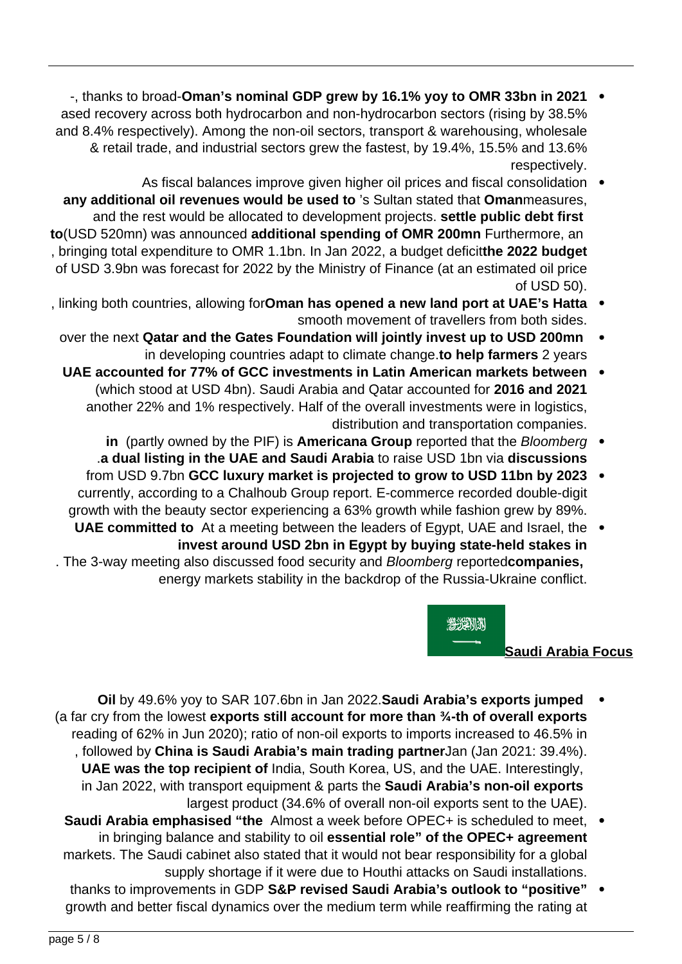- <sup>-</sup>, thanks to broad-Oman's nominal GDP grew by 16.1% yoy to OMR 33bn in 2021 ased recovery across both hydrocarbon and non-hydrocarbon sectors (rising by 38.5% and 8.4% respectively). Among the non-oil sectors, transport & warehousing, wholesale & retail trade, and industrial sectors grew the fastest, by 19.4%, 15.5% and 13.6% respectively.
- As fiscal balances improve given higher oil prices and fiscal consolidation any additional oil revenues would be used to 's Sultan stated that Omanmeasures. and the rest would be allocated to development projects. settle public debt first to(USD 520mn) was announced additional spending of OMR 200mn Furthermore, an , bringing total expenditure to OMR 1.1bn. In Jan 2022, a budget deficitthe 2022 budget of USD 3.9bn was forecast for 2022 by the Ministry of Finance (at an estimated oil price of USD 50).
- , linking both countries, allowing forOman has opened a new land port at UAE's Hatta . smooth movement of travellers from both sides.
	- over the next Qatar and the Gates Foundation will jointly invest up to USD 200mn in developing countries adapt to climate change to help farmers 2 years
	- **bath UAE** accounted for 77% of GCC investments in Latin American markets between (which stood at USD 4bn). Saudi Arabia and Qatar accounted for 2016 and 2021 another 22% and 1% respectively. Half of the overall investments were in logistics, distribution and transportation companies.
		- in (partly owned by the PIF) is Americana Group reported that the *Bloomberg* **a dual listing in the UAE and Saudi Arabia to raise USD 1bn via discussions**
	- from USD 9.7bn GCC luxury market is projected to grow to USD 11bn by 2023 currently, according to a Chalhoub Group report. E-commerce recorded double-digit growth with the beauty sector experiencing a 63% growth while fashion grew by 89%.
- UAE committed to At a meeting between the leaders of Egypt, UAE and Israel, the invest around USD 2bn in Egypt by buying state-held stakes in . The 3-way meeting also discussed food security and *Bloomberg* reportedcompanies, energy markets stability in the backdrop of the Russia-Ukraine conflict.

**ALGEMAN** 

### **Saudi Arabia Focus**

- **Oil** by 49.6% yoy to SAR 107.6 bn in Jan 2022. Saudi Arabia's exports jumped (a far cry from the lowest exports still account for more than 3/4-th of overall exports reading of 62% in Jun 2020); ratio of non-oil exports to imports increased to 46.5% in . followed by China is Saudi Arabia's main trading partnerJan (Jan 2021: 39.4%). UAE was the top recipient of India, South Korea, US, and the UAE. Interestingly, in Jan 2022, with transport equipment & parts the **Saudi Arabia's non-oil exports** largest product (34.6% of overall non-oil exports sent to the UAE).
- **Saudi Arabia emphasised "the Almost a week before OPEC+ is scheduled to meet.** in bringing balance and stability to oil **essential role" of the OPEC+ agreement** markets. The Saudi cabinet also stated that it would not bear responsibility for a global supply shortage if it were due to Houthi attacks on Saudi installations.
- thanks to improvements in GDP S&P revised Saudi Arabia's outlook to "positive" growth and better fiscal dynamics over the medium term while reaffirming the rating at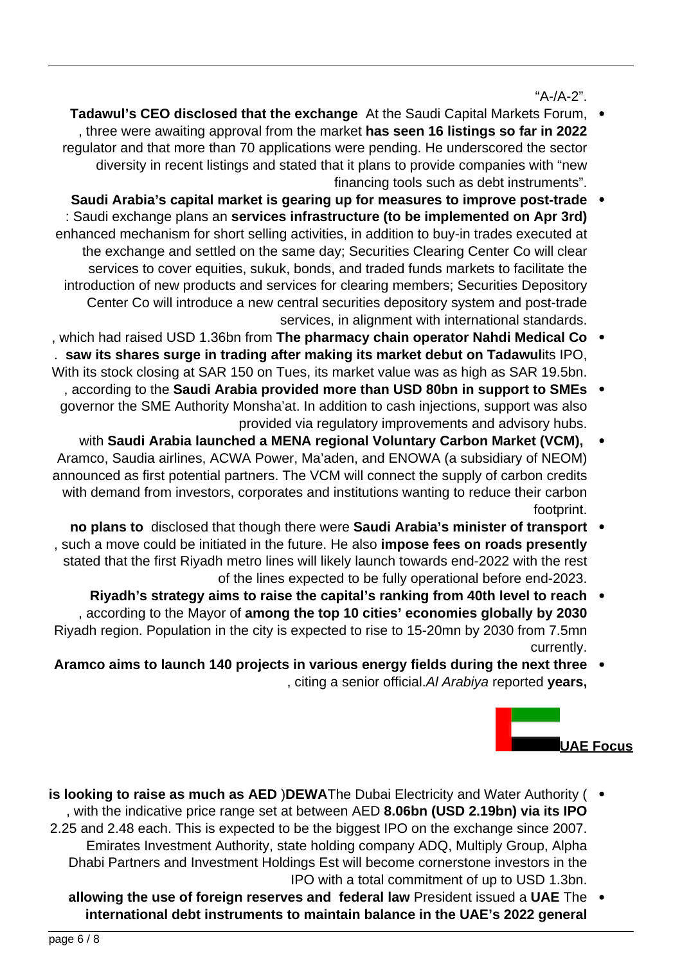$A-A-A-2"$ .

- Tadawul's CEO disclosed that the exchange At the Saudi Capital Markets Forum, , three were awaiting approval from the market has seen 16 listings so far in 2022 regulator and that more than 70 applications were pending. He underscored the sector diversity in recent listings and stated that it plans to provide companies with "new financing tools such as debt instruments".
- **Saudi Arabia's capital market is gearing up for measures to improve post-trade** : Saudi exchange plans an services infrastructure (to be implemented on Apr 3rd) enhanced mechanism for short selling activities, in addition to buy-in trades executed at the exchange and settled on the same day; Securities Clearing Center Co will clear services to cover equities, sukuk, bonds, and traded funds markets to facilitate the introduction of new products and services for clearing members; Securities Depository Center Co will introduce a new central securities depository system and post-trade services, in alignment with international standards.
- , which had raised USD 1.36bn from The pharmacy chain operator Nahdi Medical Co . . saw its shares surge in trading after making its market debut on Tadawulits IPO, With its stock closing at SAR 150 on Tues, its market value was as high as SAR 19.5bn.
- , according to the Saudi Arabia provided more than USD 80bn in support to SMEs governor the SME Authority Monsha'at. In addition to cash injections, support was also provided via regulatory improvements and advisory hubs.
- with Saudi Arabia launched a MENA regional Voluntary Carbon Market (VCM), Aramco, Saudia airlines, ACWA Power, Ma'aden, and ENOWA (a subsidiary of NEOM) announced as first potential partners. The VCM will connect the supply of carbon credits with demand from investors, corporates and institutions wanting to reduce their carbon footprint.
- **hranged** mo plans to disclosed that though there were Saudi Arabia's minister of transport  $\bullet$ , such a move could be initiated in the future. He also **impose fees on roads presently** stated that the first Riyadh metro lines will likely launch towards end-2022 with the rest of the lines expected to be fully operational before end-2023.
- Riyadh's strategy aims to raise the capital's ranking from 40th level to reach , according to the Mayor of among the top 10 cities' economies globally by 2030 Riyadh region. Population in the city is expected to rise to 15-20 mn by 2030 from 7.5 mn .currently
- Aramco aims to launch 140 projects in various energy fields during the next three , citing a senior official Al Arabiya reported years,



- is looking to raise as much as AED )DEWAThe Dubai Electricity and Water Authority ( , with the indicative price range set at between AED 8.06bn (USD 2.19bn) via its IPO 2.25 and 2.48 each. This is expected to be the biggest IPO on the exchange since 2007. Emirates Investment Authority, state holding company ADQ, Multiply Group, Alpha Dhabi Partners and Investment Holdings Est will become cornerstone investors in the IPO with a total commitment of up to USD 1.3bn.
	- allowing the use of foreign reserves and federal law President issued a UAE The **international debt instruments to maintain balance in the UAE's 2022 general**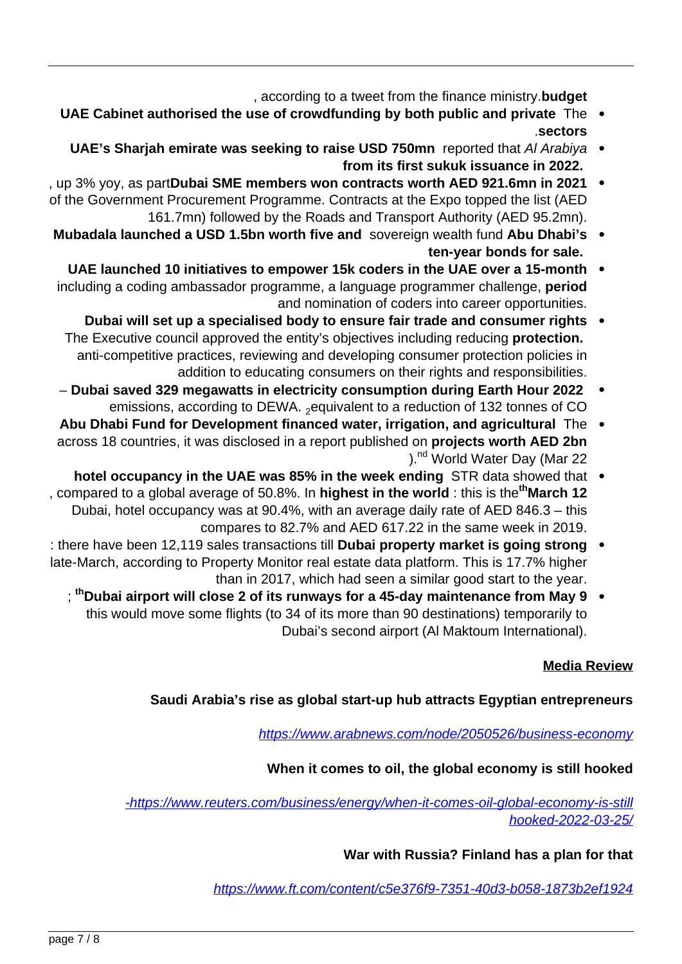, according to a tweet from the finance ministry **budget** 

- UAE Cabinet authorised the use of crowdfunding by both public and private The  $\bullet$ **sectors**.
	- **UAE's Sharjah emirate was seeking to raise USD 750mn** reported that Al Arabiya . from its first sukuk issuance in 2022.
- , up 3% yoy, as partDubai SME members won contracts worth AED 921.6mn in 2021 of the Government Procurement Programme. Contracts at the Expo topped the list (AED 161.7 mn) followed by the Roads and Transport Authority (AED 95.2 mn).
- **Mubadala launched a USD 1.5 bn worth five and sovereign wealth fund Abu Dhabi's** ten-year bonds for sale.
- **UAE launched 10 initiatives to empower 15k coders in the UAE over a 15-month** including a coding ambassador programme, a language programmer challenge, **period** and nomination of coders into career opportunities.
	- **Dubai will set up a specialised body to ensure fair trade and consumer rights** The Executive council approved the entity's objectives including reducing **protection.** anti-competitive practices, reviewing and developing consumer protection policies in addition to educating consumers on their rights and responsibilities.
- Dubai saved 329 megawatts in electricity consumption during Earth Hour 2022 emissions, according to DEWA.  $_2$  equivalent to a reduction of 132 tonnes of CO
- Abu Dhabi Fund for Development financed water, irrigation, and agricultural The  $\bullet$ across 18 countries, it was disclosed in a report published on projects worth AED 2bn ).<sup>nd</sup> World Water Day (Mar 22
- **hotel occupancy in the UAE was 85% in the week ending STR data showed that** the world the information and the world the in the state in the world the inter-Dubai, hotel occupancy was at 90.4%, with an average daily rate of AED 846.3  $-$  this compares to 82.7% and AED 617.22 in the same week in 2019.
- strong been 12,119 sales transactions till **Dubai property market is going strong** late-March, according to Property Monitor real estate data platform. This is 17.7% higher than in 2017, which had seen a similar good start to the year.
	- ; <sup>th</sup> Dubai airport will close 2 of its runways for a 45-day maintenance from May 9 this would move some flights (to 34 of its more than 90 destinations) temporarily to Dubai's second airport (Al Maktoum International).

## **Media Review**

## **Saudi Arabia's rise as global start-up hub attracts Egyptian entrepreneurs**

https://www.arabnews.com/node/2050526/business-economy

## When it comes to oil, the global economy is still hooked

-https://www.reuters.com/business/energy/when-it-comes-oil-global-economy-is-still hooked-2022-03-25/

# **War with Russia? Finland has a plan for that**

https://www.ft.com/content/c5e376f9-7351-40d3-b058-1873b2ef1924